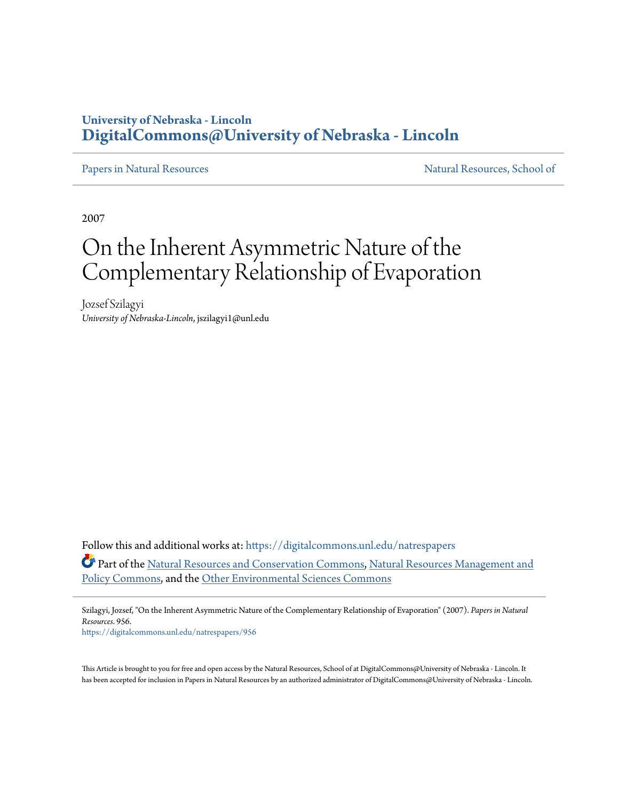## **University of Nebraska - Lincoln [DigitalCommons@University of Nebraska - Lincoln](https://digitalcommons.unl.edu?utm_source=digitalcommons.unl.edu%2Fnatrespapers%2F956&utm_medium=PDF&utm_campaign=PDFCoverPages)**

[Papers in Natural Resources](https://digitalcommons.unl.edu/natrespapers?utm_source=digitalcommons.unl.edu%2Fnatrespapers%2F956&utm_medium=PDF&utm_campaign=PDFCoverPages) and Security and Security and Security [Natural Resources, School of](https://digitalcommons.unl.edu/natres?utm_source=digitalcommons.unl.edu%2Fnatrespapers%2F956&utm_medium=PDF&utm_campaign=PDFCoverPages)

2007

# On the Inherent Asymmetric Nature of the Complementary Relationship of Evaporation

Jozsef Szilagyi *University of Nebraska-Lincoln*, jszilagyi1@unl.edu

Follow this and additional works at: [https://digitalcommons.unl.edu/natrespapers](https://digitalcommons.unl.edu/natrespapers?utm_source=digitalcommons.unl.edu%2Fnatrespapers%2F956&utm_medium=PDF&utm_campaign=PDFCoverPages) Part of the [Natural Resources and Conservation Commons,](http://network.bepress.com/hgg/discipline/168?utm_source=digitalcommons.unl.edu%2Fnatrespapers%2F956&utm_medium=PDF&utm_campaign=PDFCoverPages) [Natural Resources Management and](http://network.bepress.com/hgg/discipline/170?utm_source=digitalcommons.unl.edu%2Fnatrespapers%2F956&utm_medium=PDF&utm_campaign=PDFCoverPages) [Policy Commons](http://network.bepress.com/hgg/discipline/170?utm_source=digitalcommons.unl.edu%2Fnatrespapers%2F956&utm_medium=PDF&utm_campaign=PDFCoverPages), and the [Other Environmental Sciences Commons](http://network.bepress.com/hgg/discipline/173?utm_source=digitalcommons.unl.edu%2Fnatrespapers%2F956&utm_medium=PDF&utm_campaign=PDFCoverPages)

Szilagyi, Jozsef, "On the Inherent Asymmetric Nature of the Complementary Relationship of Evaporation" (2007). *Papers in Natural Resources*. 956.

[https://digitalcommons.unl.edu/natrespapers/956](https://digitalcommons.unl.edu/natrespapers/956?utm_source=digitalcommons.unl.edu%2Fnatrespapers%2F956&utm_medium=PDF&utm_campaign=PDFCoverPages)

This Article is brought to you for free and open access by the Natural Resources, School of at DigitalCommons@University of Nebraska - Lincoln. It has been accepted for inclusion in Papers in Natural Resources by an authorized administrator of DigitalCommons@University of Nebraska - Lincoln.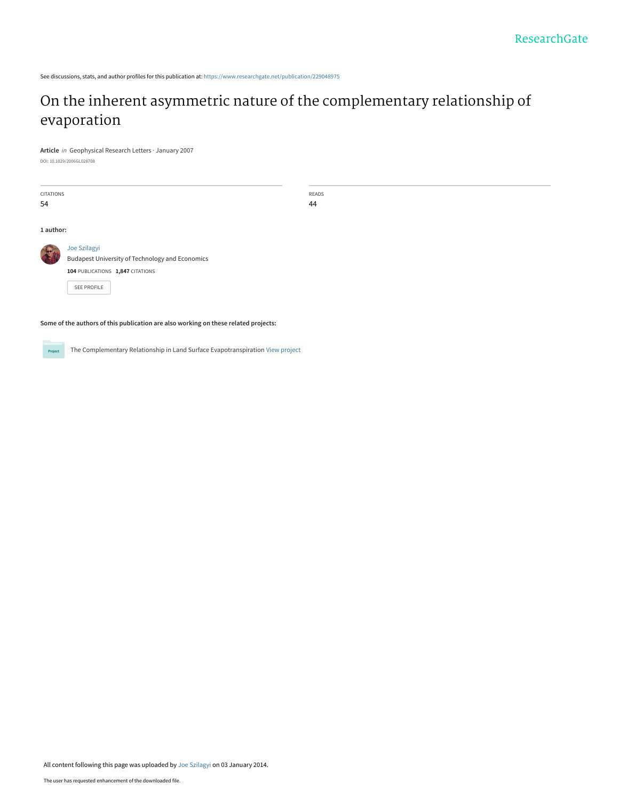See discussions, stats, and author profiles for this publication at: [https://www.researchgate.net/publication/229048975](https://www.researchgate.net/publication/229048975_On_the_inherent_asymmetric_nature_of_the_complementary_relationship_of_evaporation?enrichId=rgreq-147e954a352150493c304a3a6c4fe161-XXX&enrichSource=Y292ZXJQYWdlOzIyOTA0ODk3NTtBUzoxMDM5MjkxNTMwNjQ5NjBAMTQwMTc5MDA0OTI0Nw%3D%3D&el=1_x_2&_esc=publicationCoverPdf)

# [On the inherent asymmetric nature of the complementary relationship of](https://www.researchgate.net/publication/229048975_On_the_inherent_asymmetric_nature_of_the_complementary_relationship_of_evaporation?enrichId=rgreq-147e954a352150493c304a3a6c4fe161-XXX&enrichSource=Y292ZXJQYWdlOzIyOTA0ODk3NTtBUzoxMDM5MjkxNTMwNjQ5NjBAMTQwMTc5MDA0OTI0Nw%3D%3D&el=1_x_3&_esc=publicationCoverPdf) evaporation

**Article** in Geophysical Research Letters · January 2007

DOI: 10.1029/2006GL028708

| <b>CITATIONS</b><br>54 |                                                                                                            | <b>READS</b><br>44 |
|------------------------|------------------------------------------------------------------------------------------------------------|--------------------|
| 1 author:              |                                                                                                            |                    |
|                        | Joe Szilagyi<br><b>Budapest University of Technology and Economics</b><br>104 PUBLICATIONS 1,847 CITATIONS |                    |
|                        | <b>SEE PROFILE</b>                                                                                         |                    |

**Some of the authors of this publication are also working on these related projects:**

**Project** 

The Complementary Relationship in Land Surface Evapotranspiration [View project](https://www.researchgate.net/project/The-Complementary-Relationship-in-Land-Surface-Evapotranspiration?enrichId=rgreq-147e954a352150493c304a3a6c4fe161-XXX&enrichSource=Y292ZXJQYWdlOzIyOTA0ODk3NTtBUzoxMDM5MjkxNTMwNjQ5NjBAMTQwMTc5MDA0OTI0Nw%3D%3D&el=1_x_9&_esc=publicationCoverPdf)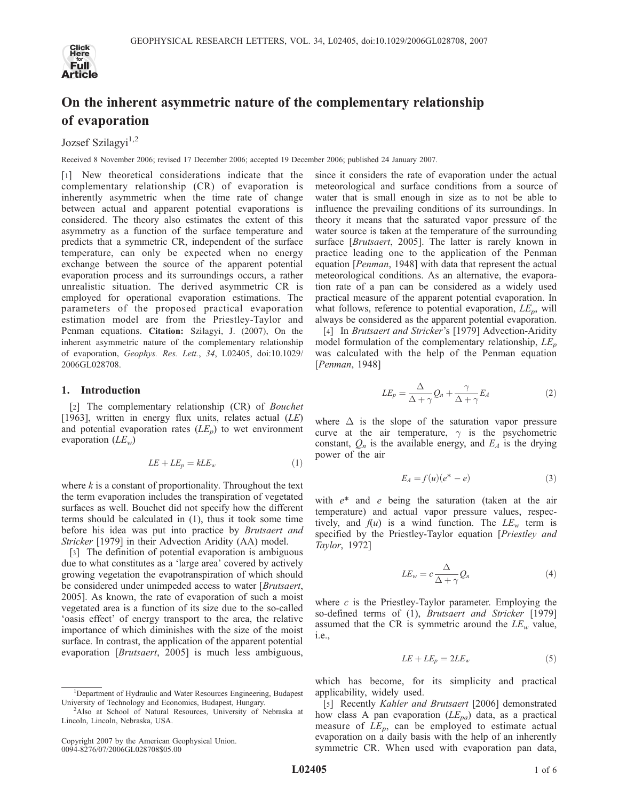

### On the inherent asymmetric nature of the complementary relationship of evaporation

Jozsef Szilagyi<sup>1,2</sup>

Received 8 November 2006; revised 17 December 2006; accepted 19 December 2006; published 24 January 2007.

[1] New theoretical considerations indicate that the complementary relationship (CR) of evaporation is inherently asymmetric when the time rate of change between actual and apparent potential evaporations is considered. The theory also estimates the extent of this asymmetry as a function of the surface temperature and predicts that a symmetric CR, independent of the surface temperature, can only be expected when no energy exchange between the source of the apparent potential evaporation process and its surroundings occurs, a rather unrealistic situation. The derived asymmetric CR is employed for operational evaporation estimations. The parameters of the proposed practical evaporation estimation model are from the Priestley-Taylor and Penman equations. Citation: Szilagyi, J. (2007), On the inherent asymmetric nature of the complementary relationship of evaporation, Geophys. Res. Lett., 34, L02405, doi:10.1029/ 2006GL028708.

#### 1. Introduction

[2] The complementary relationship (CR) of *Bouchet* [1963], written in energy flux units, relates actual  $(LE)$ and potential evaporation rates  $(LE<sub>n</sub>)$  to wet environment evaporation  $(LE_w)$ 

$$
LE + LE_p = kLE_w \tag{1}
$$

where  $k$  is a constant of proportionality. Throughout the text the term evaporation includes the transpiration of vegetated surfaces as well. Bouchet did not specify how the different terms should be calculated in (1), thus it took some time before his idea was put into practice by *Brutsaert and* Stricker [1979] in their Advection Aridity (AA) model.

[3] The definition of potential evaporation is ambiguous due to what constitutes as a 'large area' covered by actively growing vegetation the evapotranspiration of which should be considered under unimpeded access to water [*Brutsaert*, 2005]. As known, the rate of evaporation of such a moist vegetated area is a function of its size due to the so-called 'oasis effect' of energy transport to the area, the relative importance of which diminishes with the size of the moist surface. In contrast, the application of the apparent potential evaporation [*Brutsaert*, 2005] is much less ambiguous,

since it considers the rate of evaporation under the actual meteorological and surface conditions from a source of water that is small enough in size as to not be able to influence the prevailing conditions of its surroundings. In theory it means that the saturated vapor pressure of the water source is taken at the temperature of the surrounding surface *[Brutsaert, 2005]*. The latter is rarely known in practice leading one to the application of the Penman equation [Penman, 1948] with data that represent the actual meteorological conditions. As an alternative, the evaporation rate of a pan can be considered as a widely used practical measure of the apparent potential evaporation. In what follows, reference to potential evaporation,  $LE_n$ , will always be considered as the apparent potential evaporation.

[4] In *Brutsaert and Stricker's* [1979] Advection-Aridity model formulation of the complementary relationship,  $LE<sub>p</sub>$ was calculated with the help of the Penman equation [Penman, 1948]

$$
LE_p = \frac{\Delta}{\Delta + \gamma} Q_n + \frac{\gamma}{\Delta + \gamma} E_A \tag{2}
$$

where  $\Delta$  is the slope of the saturation vapor pressure curve at the air temperature,  $\gamma$  is the psychometric constant,  $Q_n$  is the available energy, and  $E_A$  is the drying power of the air

$$
E_A = f(u)(e^* - e) \tag{3}
$$

with  $e^*$  and  $e$  being the saturation (taken at the air temperature) and actual vapor pressure values, respectively, and  $f(u)$  is a wind function. The  $LE_w$  term is specified by the Priestley-Taylor equation [Priestley and Taylor, 1972]

$$
LE_w = c \frac{\Delta}{\Delta + \gamma} Q_n \tag{4}
$$

where  $c$  is the Priestley-Taylor parameter. Employing the so-defined terms of (1), Brutsaert and Stricker [1979] assumed that the CR is symmetric around the  $LE_w$  value, i.e.,

$$
LE + LE_p = 2LE_w \tag{5}
$$

which has become, for its simplicity and practical applicability, widely used.

[5] Recently Kahler and Brutsaert [2006] demonstrated how class A pan evaporation  $(LE_{pa})$  data, as a practical measure of  $LE_p$ , can be employed to estimate actual evaporation on a daily basis with the help of an inherently symmetric CR. When used with evaporation pan data,

<sup>&</sup>lt;sup>1</sup>Department of Hydraulic and Water Resources Engineering, Budapest University of Technology and Economics, Budapest, Hungary. <sup>2</sup>

<sup>&</sup>lt;sup>2</sup>Also at School of Natural Resources, University of Nebraska at Lincoln, Lincoln, Nebraska, USA.

Copyright 2007 by the American Geophysical Union. 0094-8276/07/2006GL028708\$05.00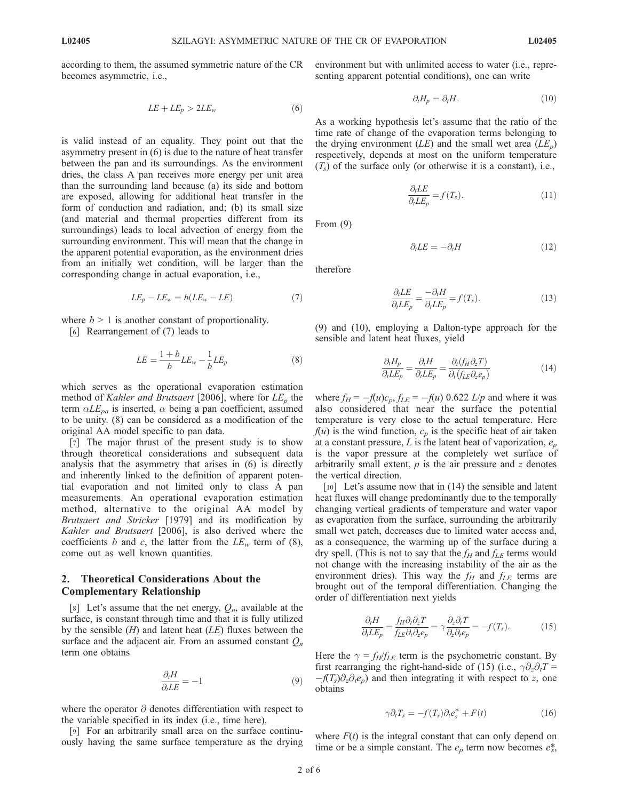according to them, the assumed symmetric nature of the CR becomes asymmetric, i.e.,

$$
LE + LE_p > 2LE_w \tag{6}
$$

is valid instead of an equality. They point out that the asymmetry present in (6) is due to the nature of heat transfer between the pan and its surroundings. As the environment dries, the class A pan receives more energy per unit area than the surrounding land because (a) its side and bottom are exposed, allowing for additional heat transfer in the form of conduction and radiation, and; (b) its small size (and material and thermal properties different from its surroundings) leads to local advection of energy from the surrounding environment. This will mean that the change in the apparent potential evaporation, as the environment dries from an initially wet condition, will be larger than the corresponding change in actual evaporation, i.e.,

$$
LE_p - LE_w = b(LE_w - LE) \tag{7}
$$

where  $b > 1$  is another constant of proportionality.

[6] Rearrangement of (7) leads to

$$
LE = \frac{1+b}{b} LE_w - \frac{1}{b} LE_p \tag{8}
$$

which serves as the operational evaporation estimation method of Kahler and Brutsaert [2006], where for  $LE_p$  the term  $\alpha L E_{pa}$  is inserted,  $\alpha$  being a pan coefficient, assumed to be unity. (8) can be considered as a modification of the original AA model specific to pan data.

[7] The major thrust of the present study is to show through theoretical considerations and subsequent data analysis that the asymmetry that arises in (6) is directly and inherently linked to the definition of apparent potential evaporation and not limited only to class A pan measurements. An operational evaporation estimation method, alternative to the original AA model by Brutsaert and Stricker [1979] and its modification by Kahler and Brutsaert [2006], is also derived where the coefficients b and c, the latter from the  $LE_w$  term of (8), come out as well known quantities.

#### 2. Theoretical Considerations About the Complementary Relationship

[8] Let's assume that the net energy,  $Q_n$ , available at the surface, is constant through time and that it is fully utilized by the sensible  $(H)$  and latent heat  $(LE)$  fluxes between the surface and the adjacent air. From an assumed constant  $Q_n$ term one obtains

$$
\frac{\partial_t H}{\partial_t L E} = -1 \tag{9}
$$

where the operator  $\partial$  denotes differentiation with respect to the variable specified in its index (i.e., time here).

[9] For an arbitrarily small area on the surface continuously having the same surface temperature as the drying environment but with unlimited access to water (i.e., representing apparent potential conditions), one can write

$$
\partial_t H_p = \partial_t H. \tag{10}
$$

As a working hypothesis let's assume that the ratio of the time rate of change of the evaporation terms belonging to the drying environment (*LE*) and the small wet area (*LE<sub>n</sub>*) respectively, depends at most on the uniform temperature  $(T<sub>s</sub>)$  of the surface only (or otherwise it is a constant), i.e.,

$$
\frac{\partial_t LE}{\partial_t LE_p} = f(T_s). \tag{11}
$$

From (9)

$$
\partial_t L E = -\partial_t H \tag{12}
$$

therefore

$$
\frac{\partial_t LE}{\partial_t LE_p} = \frac{-\partial_t H}{\partial_t LE_p} = f(T_s). \tag{13}
$$

(9) and (10), employing a Dalton-type approach for the sensible and latent heat fluxes, yield

$$
\frac{\partial_i H_p}{\partial_i L E_p} = \frac{\partial_i H}{\partial_i L E_p} = \frac{\partial_i (f_H \partial_z T)}{\partial_i (f_{LE} \partial_z e_p)}
$$
(14)

where  $f_H = -f(u)c_p$ ,  $f_{LE} = -f(u)$  0.622 L/p and where it was also considered that near the surface the potential temperature is very close to the actual temperature. Here  $f(u)$  is the wind function,  $c_p$  is the specific heat of air taken at a constant pressure,  $L$  is the latent heat of vaporization,  $e_p$ is the vapor pressure at the completely wet surface of arbitrarily small extent,  $p$  is the air pressure and  $z$  denotes the vertical direction.

[10] Let's assume now that in (14) the sensible and latent heat fluxes will change predominantly due to the temporally changing vertical gradients of temperature and water vapor as evaporation from the surface, surrounding the arbitrarily small wet patch, decreases due to limited water access and, as a consequence, the warming up of the surface during a dry spell. (This is not to say that the  $f_H$  and  $f_{LE}$  terms would not change with the increasing instability of the air as the environment dries). This way the  $f_H$  and  $f_{LE}$  terms are brought out of the temporal differentiation. Changing the order of differentiation next yields

$$
\frac{\partial_t H}{\partial_t L E_p} = \frac{f_H \partial_t \partial_z T}{f_{LE} \partial_t \partial_z e_p} = \gamma \frac{\partial_z \partial_t T}{\partial_z \partial_t e_p} = -f(T_s). \tag{15}
$$

Here the  $\gamma = f_H/f_{LE}$  term is the psychometric constant. By first rearranging the right-hand-side of (15) (i.e.,  $\gamma \partial_z \partial_t T =$  $-f(T_s)\partial_z\partial_t e_p$ ) and then integrating it with respect to z, one obtains

$$
\gamma \partial_t T_s = -f(T_s) \partial_t e_s^* + F(t) \tag{16}
$$

where  $F(t)$  is the integral constant that can only depend on time or be a simple constant. The  $e_p$  term now becomes  $e_s^*$ ,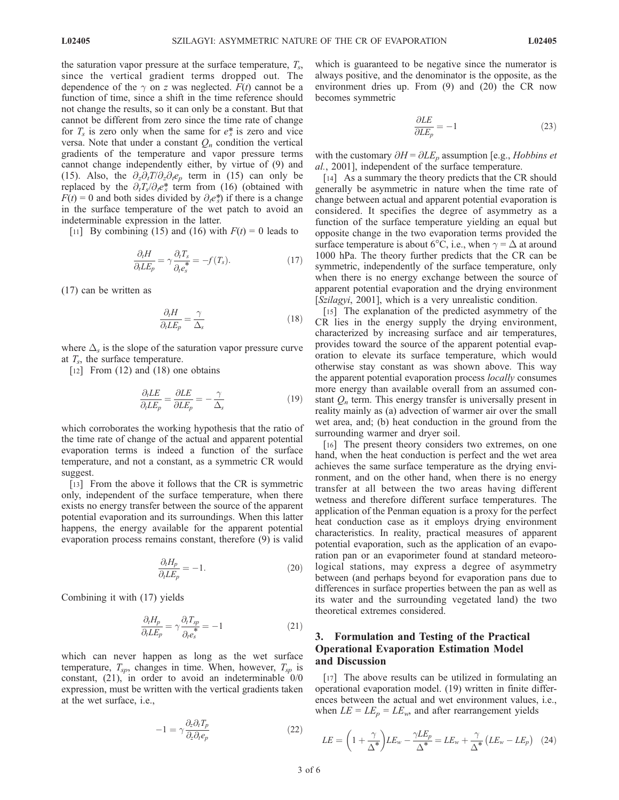the saturation vapor pressure at the surface temperature,  $T_s$ , since the vertical gradient terms dropped out. The dependence of the  $\gamma$  on z was neglected.  $F(t)$  cannot be a function of time, since a shift in the time reference should not change the results, so it can only be a constant. But that cannot be different from zero since the time rate of change for  $T_s$  is zero only when the same for  $e^*_s$  is zero and vice versa. Note that under a constant  $Q_n$  condition the vertical gradients of the temperature and vapor pressure terms cannot change independently either, by virtue of (9) and (15). Also, the  $\partial_z \partial_t T / \partial_z \partial_t e_p$  term in (15) can only be replaced by the  $\partial_t T_s / \partial_t e^*_s$  term from (16) (obtained with  $F(t) = 0$  and both sides divided by  $\partial_t e^*_{s}$  if there is a change in the surface temperature of the wet patch to avoid an indeterminable expression in the latter.

[11] By combining (15) and (16) with  $F(t) = 0$  leads to

$$
\frac{\partial_t H}{\partial_t L E_p} = \gamma \frac{\partial_t T_s}{\partial_t e_s^*} = -f(T_s). \tag{17}
$$

(17) can be written as

$$
\frac{\partial_t H}{\partial_t L E_p} = \frac{\gamma}{\Delta_s} \tag{18}
$$

where  $\Delta_s$  is the slope of the saturation vapor pressure curve at  $T_s$ , the surface temperature.

[12] From (12) and (18) one obtains

$$
\frac{\partial_t LE}{\partial_t LE_p} = \frac{\partial LE}{\partial LE_p} = -\frac{\gamma}{\Delta_s} \tag{19}
$$

which corroborates the working hypothesis that the ratio of the time rate of change of the actual and apparent potential evaporation terms is indeed a function of the surface temperature, and not a constant, as a symmetric CR would suggest.

[13] From the above it follows that the CR is symmetric only, independent of the surface temperature, when there exists no energy transfer between the source of the apparent potential evaporation and its surroundings. When this latter happens, the energy available for the apparent potential evaporation process remains constant, therefore (9) is valid

$$
\frac{\partial_t H_p}{\partial_t L E_p} = -1.
$$
\n(20)

Combining it with (17) yields

$$
\frac{\partial_t H_p}{\partial_t L E_p} = \gamma \frac{\partial_t T_{sp}}{\partial_t e_s^*} = -1 \tag{21}
$$

which can never happen as long as the wet surface temperature,  $T_{sp}$ , changes in time. When, however,  $T_{sp}$  is constant, (21), in order to avoid an indeterminable 0/0 expression, must be written with the vertical gradients taken at the wet surface, i.e.,

$$
-1 = \gamma \frac{\partial_z \partial_t T_p}{\partial_z \partial_t e_p} \tag{22}
$$

which is guaranteed to be negative since the numerator is always positive, and the denominator is the opposite, as the environment dries up. From (9) and (20) the CR now becomes symmetric

$$
\frac{\partial LE}{\partial LE_p} = -1\tag{23}
$$

with the customary  $\partial H = \partial L E_p$  assumption [e.g., *Hobbins et* al., 2001], independent of the surface temperature.

[14] As a summary the theory predicts that the CR should generally be asymmetric in nature when the time rate of change between actual and apparent potential evaporation is considered. It specifies the degree of asymmetry as a function of the surface temperature yielding an equal but opposite change in the two evaporation terms provided the surface temperature is about 6°C, i.e., when  $\gamma = \Delta$  at around 1000 hPa. The theory further predicts that the CR can be symmetric, independently of the surface temperature, only when there is no energy exchange between the source of apparent potential evaporation and the drying environment [Szilagyi, 2001], which is a very unrealistic condition.

[15] The explanation of the predicted asymmetry of the CR lies in the energy supply the drying environment, characterized by increasing surface and air temperatures, provides toward the source of the apparent potential evaporation to elevate its surface temperature, which would otherwise stay constant as was shown above. This way the apparent potential evaporation process *locally* consumes more energy than available overall from an assumed constant  $Q_n$  term. This energy transfer is universally present in reality mainly as (a) advection of warmer air over the small wet area, and; (b) heat conduction in the ground from the surrounding warmer and dryer soil.

[16] The present theory considers two extremes, on one hand, when the heat conduction is perfect and the wet area achieves the same surface temperature as the drying environment, and on the other hand, when there is no energy transfer at all between the two areas having different wetness and therefore different surface temperatures. The application of the Penman equation is a proxy for the perfect heat conduction case as it employs drying environment characteristics. In reality, practical measures of apparent potential evaporation, such as the application of an evaporation pan or an evaporimeter found at standard meteorological stations, may express a degree of asymmetry between (and perhaps beyond for evaporation pans due to differences in surface properties between the pan as well as its water and the surrounding vegetated land) the two theoretical extremes considered.

#### 3. Formulation and Testing of the Practical Operational Evaporation Estimation Model and Discussion

[17] The above results can be utilized in formulating an operational evaporation model. (19) written in finite differences between the actual and wet environment values, i.e., when  $LE = LE_p = LE_w$  and after rearrangement yields

$$
LE = \left(1 + \frac{\gamma}{\Delta^*}\right) LE_w - \frac{\gamma LE_p}{\Delta^*} = LE_w + \frac{\gamma}{\Delta^*} \left( LE_w - LE_p \right) \quad (24)
$$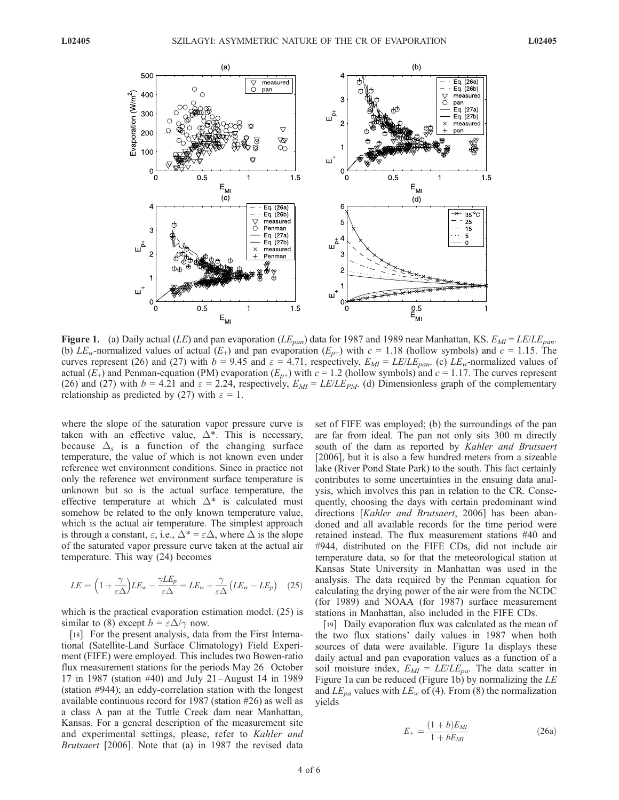

Figure 1. (a) Daily actual (LE) and pan evaporation (LE<sub>pan</sub>) data for 1987 and 1989 near Manhattan, KS.  $E_{MI} = L E / L E_{pan}$ . (b)  $LE_w$ -normalized values of actual  $(E_+)$  and pan evaporation  $(E_{p+})$  with  $c = 1.18$  (hollow symbols) and  $c = 1.15$ . The curves represent (26) and (27) with  $b = 9.45$  and  $\varepsilon = 4.71$ , respectively,  $E_{M1} = LE/LE_{pan}$ . (c)  $LE_{w}$ -normalized values of actual  $(E_{+})$  and Penman-equation (PM) evaporation  $(E_{p+})$  with  $c = 1.2$  (hollow symbols) and  $c = 1.17$ . The curves represent (26) and (27) with  $b = 4.21$  and  $\varepsilon = 2.24$ , respectively,  $E_{MI} = LE/LE_{PM}$ . (d) Dimensionless graph of the complementary relationship as predicted by (27) with  $\varepsilon = 1$ .

where the slope of the saturation vapor pressure curve is taken with an effective value,  $\Delta^*$ . This is necessary, because  $\Delta_s$  is a function of the changing surface temperature, the value of which is not known even under reference wet environment conditions. Since in practice not only the reference wet environment surface temperature is unknown but so is the actual surface temperature, the effective temperature at which  $\Delta^*$  is calculated must somehow be related to the only known temperature value, which is the actual air temperature. The simplest approach is through a constant,  $\varepsilon$ , i.e.,  $\Delta^* = \varepsilon \Delta$ , where  $\Delta$  is the slope of the saturated vapor pressure curve taken at the actual air temperature. This way (24) becomes

$$
LE = \left(1 + \frac{\gamma}{\varepsilon \Delta}\right) LE_w - \frac{\gamma L E_p}{\varepsilon \Delta} = LE_w + \frac{\gamma}{\varepsilon \Delta} \left( LE_w - LE_p \right) \quad (25)
$$

which is the practical evaporation estimation model. (25) is similar to (8) except  $b = \varepsilon \Delta/\gamma$  now.

[18] For the present analysis, data from the First International (Satellite-Land Surface Climatology) Field Experiment (FIFE) were employed. This includes two Bowen-ratio flux measurement stations for the periods May 26–October 17 in 1987 (station #40) and July 21–August 14 in 1989 (station #944); an eddy-correlation station with the longest available continuous record for 1987 (station #26) as well as a class A pan at the Tuttle Creek dam near Manhattan, Kansas. For a general description of the measurement site and experimental settings, please, refer to Kahler and Brutsaert [2006]. Note that (a) in 1987 the revised data set of FIFE was employed; (b) the surroundings of the pan are far from ideal. The pan not only sits 300 m directly south of the dam as reported by Kahler and Brutsaert [2006], but it is also a few hundred meters from a sizeable lake (River Pond State Park) to the south. This fact certainly contributes to some uncertainties in the ensuing data analysis, which involves this pan in relation to the CR. Consequently, choosing the days with certain predominant wind directions [Kahler and Brutsaert, 2006] has been abandoned and all available records for the time period were retained instead. The flux measurement stations #40 and #944, distributed on the FIFE CDs, did not include air temperature data, so for that the meteorological station at Kansas State University in Manhattan was used in the analysis. The data required by the Penman equation for calculating the drying power of the air were from the NCDC (for 1989) and NOAA (for 1987) surface measurement stations in Manhattan, also included in the FIFE CDs.

[19] Daily evaporation flux was calculated as the mean of the two flux stations' daily values in 1987 when both sources of data were available. Figure 1a displays these daily actual and pan evaporation values as a function of a soil moisture index,  $E_{MI} = LE/LE_{pa}$ . The data scatter in Figure 1a can be reduced (Figure 1b) by normalizing the LE and  $LE_{pa}$  values with  $LE_w$  of (4). From (8) the normalization yields

$$
E_{+} = \frac{(1+b)E_{MI}}{1+bE_{MI}} \tag{26a}
$$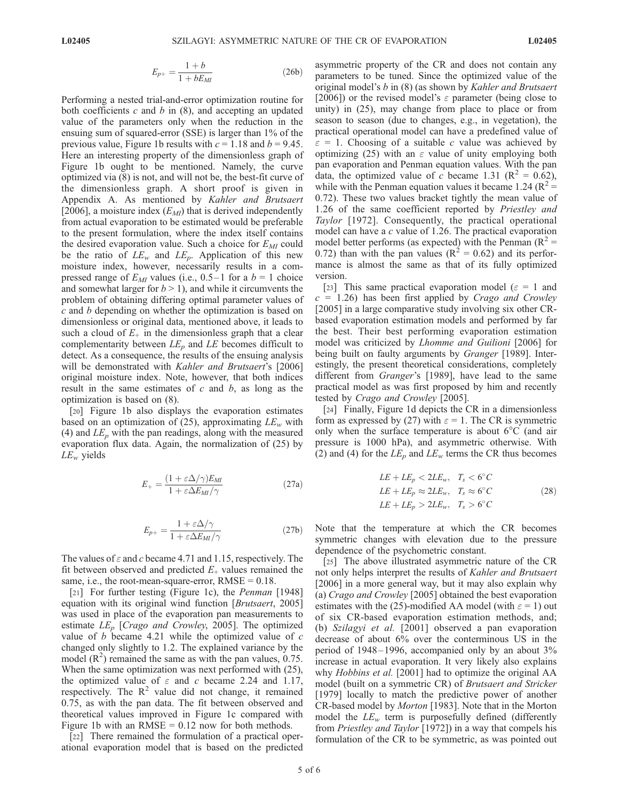$$
E_{p+} = \frac{1+b}{1+bE_{Ml}}\tag{26b}
$$

Performing a nested trial-and-error optimization routine for both coefficients  $c$  and  $b$  in (8), and accepting an updated value of the parameters only when the reduction in the ensuing sum of squared-error (SSE) is larger than 1% of the previous value, Figure 1b results with  $c = 1.18$  and  $b = 9.45$ . Here an interesting property of the dimensionless graph of Figure 1b ought to be mentioned. Namely, the curve optimized via (8) is not, and will not be, the best-fit curve of the dimensionless graph. A short proof is given in Appendix A. As mentioned by Kahler and Brutsaert [2006], a moisture index  $(E_{MI})$  that is derived independently from actual evaporation to be estimated would be preferable to the present formulation, where the index itself contains the desired evaporation value. Such a choice for  $E_{MI}$  could be the ratio of  $LE_w$  and  $LE_p$ . Application of this new moisture index, however, necessarily results in a compressed range of  $E_{MI}$  values (i.e., 0.5–1 for a  $b = 1$  choice and somewhat larger for  $b > 1$ ), and while it circumvents the problem of obtaining differing optimal parameter values of c and b depending on whether the optimization is based on dimensionless or original data, mentioned above, it leads to such a cloud of  $E_{+}$  in the dimensionless graph that a clear complementarity between  $LE_p$  and  $LE$  becomes difficult to detect. As a consequence, the results of the ensuing analysis will be demonstrated with Kahler and Brutsaert's [2006] original moisture index. Note, however, that both indices result in the same estimates of  $c$  and  $b$ , as long as the optimization is based on (8).

[20] Figure 1b also displays the evaporation estimates based on an optimization of (25), approximating  $LE_w$  with (4) and  $LE<sub>p</sub>$  with the pan readings, along with the measured evaporation flux data. Again, the normalization of (25) by  $LE_w$  yields

$$
E_{+} = \frac{(1 + \varepsilon \Delta / \gamma) E_{M\!I}}{1 + \varepsilon \Delta E_{M\!I} / \gamma} \tag{27a}
$$

$$
E_{p+} = \frac{1 + \varepsilon \Delta / \gamma}{1 + \varepsilon \Delta E_M / \gamma}
$$
 (27b)

The values of  $\varepsilon$  and c became 4.71 and 1.15, respectively. The fit between observed and predicted  $E_{+}$  values remained the same, i.e., the root-mean-square-error,  $RMSE = 0.18$ .

[21] For further testing (Figure 1c), the *Penman* [1948] equation with its original wind function [Brutsaert, 2005] was used in place of the evaporation pan measurements to estimate  $LE_p$  [Crago and Crowley, 2005]. The optimized value of b became 4.21 while the optimized value of  $c$ changed only slightly to 1.2. The explained variance by the model  $(R^2)$  remained the same as with the pan values, 0.75. When the same optimization was next performed with (25), the optimized value of  $\varepsilon$  and c became 2.24 and 1.17, respectively. The  $R^2$  value did not change, it remained 0.75, as with the pan data. The fit between observed and theoretical values improved in Figure 1c compared with Figure 1b with an  $RMSE = 0.12$  now for both methods.

[22] There remained the formulation of a practical operational evaporation model that is based on the predicted asymmetric property of the CR and does not contain any parameters to be tuned. Since the optimized value of the original model's b in (8) (as shown by Kahler and Brutsaert [2006]) or the revised model's  $\varepsilon$  parameter (being close to unity) in (25), may change from place to place or from season to season (due to changes, e.g., in vegetation), the practical operational model can have a predefined value of  $\varepsilon = 1$ . Choosing of a suitable c value was achieved by optimizing (25) with an  $\varepsilon$  value of unity employing both pan evaporation and Penman equation values. With the pan data, the optimized value of c became 1.31 ( $\mathbb{R}^2 = 0.62$ ), while with the Penman equation values it became 1.24 ( $R^2$  = 0.72). These two values bracket tightly the mean value of 1.26 of the same coefficient reported by *Priestley and* Taylor [1972]. Consequently, the practical operational model can have a  $c$  value of 1.26. The practical evaporation model better performs (as expected) with the Penman ( $R^2$  = 0.72) than with the pan values ( $R^2 = 0.62$ ) and its performance is almost the same as that of its fully optimized version.

[23] This same practical evaporation model ( $\varepsilon = 1$  and  $c = 1.26$ ) has been first applied by *Crago and Crowley* [2005] in a large comparative study involving six other CRbased evaporation estimation models and performed by far the best. Their best performing evaporation estimation model was criticized by Lhomme and Guilioni [2006] for being built on faulty arguments by *Granger* [1989]. Interestingly, the present theoretical considerations, completely different from Granger's [1989], have lead to the same practical model as was first proposed by him and recently tested by Crago and Crowley [2005].

[24] Finally, Figure 1d depicts the CR in a dimensionless form as expressed by (27) with  $\varepsilon = 1$ . The CR is symmetric only when the surface temperature is about  $6^{\circ}$ C (and air pressure is 1000 hPa), and asymmetric otherwise. With (2) and (4) for the  $LE_p$  and  $LE_w$  terms the CR thus becomes

$$
LE + LE_p < 2LE_w, \quad T_s < 6^\circ C
$$
\n
$$
LE + LE_p \approx 2LE_w, \quad T_s \approx 6^\circ C
$$
\n
$$
LE + LE_p > 2LE_w, \quad T_s > 6^\circ C
$$
\n
$$
(28)
$$

Note that the temperature at which the CR becomes symmetric changes with elevation due to the pressure dependence of the psychometric constant.

[25] The above illustrated asymmetric nature of the CR not only helps interpret the results of Kahler and Brutsaert [2006] in a more general way, but it may also explain why (a) Crago and Crowley [2005] obtained the best evaporation estimates with the (25)-modified AA model (with  $\varepsilon = 1$ ) out of six CR-based evaporation estimation methods, and; (b) Szilagyi et al. [2001] observed a pan evaporation decrease of about 6% over the conterminous US in the period of  $1948 - 1996$ , accompanied only by an about  $3\%$ increase in actual evaporation. It very likely also explains why Hobbins et al. [2001] had to optimize the original AA model (built on a symmetric CR) of Brutsaert and Stricker [1979] locally to match the predictive power of another CR-based model by Morton [1983]. Note that in the Morton model the  $LE_w$  term is purposefully defined (differently from Priestley and Taylor [1972]) in a way that compels his formulation of the CR to be symmetric, as was pointed out